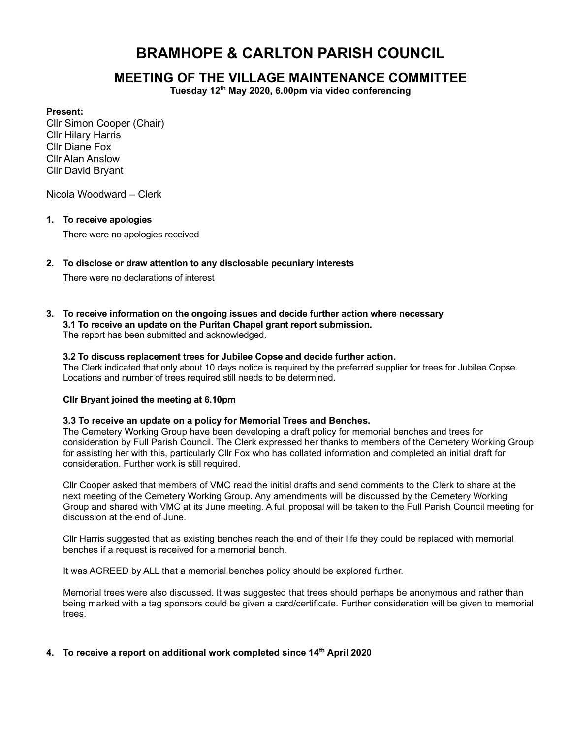# BRAMHOPE & CARLTON PARISH COUNCIL

# MEETING OF THE VILLAGE MAINTENANCE COMMITTEE

Tuesday 12th May 2020, 6.00pm via video conferencing

#### Present:

Cllr Simon Cooper (Chair) Cllr Hilary Harris Cllr Diane Fox Cllr Alan Anslow Cllr David Bryant

Nicola Woodward – Clerk

# 1. To receive apologies

There were no apologies received

- 2. To disclose or draw attention to any disclosable pecuniary interests There were no declarations of interest
- 3. To receive information on the ongoing issues and decide further action where necessary 3.1 To receive an update on the Puritan Chapel grant report submission. The report has been submitted and acknowledged.

#### 3.2 To discuss replacement trees for Jubilee Copse and decide further action.

The Clerk indicated that only about 10 days notice is required by the preferred supplier for trees for Jubilee Copse. Locations and number of trees required still needs to be determined.

#### Cllr Bryant joined the meeting at 6.10pm

#### 3.3 To receive an update on a policy for Memorial Trees and Benches.

The Cemetery Working Group have been developing a draft policy for memorial benches and trees for consideration by Full Parish Council. The Clerk expressed her thanks to members of the Cemetery Working Group for assisting her with this, particularly Cllr Fox who has collated information and completed an initial draft for consideration. Further work is still required.

Cllr Cooper asked that members of VMC read the initial drafts and send comments to the Clerk to share at the next meeting of the Cemetery Working Group. Any amendments will be discussed by the Cemetery Working Group and shared with VMC at its June meeting. A full proposal will be taken to the Full Parish Council meeting for discussion at the end of June.

Cllr Harris suggested that as existing benches reach the end of their life they could be replaced with memorial benches if a request is received for a memorial bench.

It was AGREED by ALL that a memorial benches policy should be explored further.

Memorial trees were also discussed. It was suggested that trees should perhaps be anonymous and rather than being marked with a tag sponsors could be given a card/certificate. Further consideration will be given to memorial trees.

# 4. To receive a report on additional work completed since 14<sup>th</sup> April 2020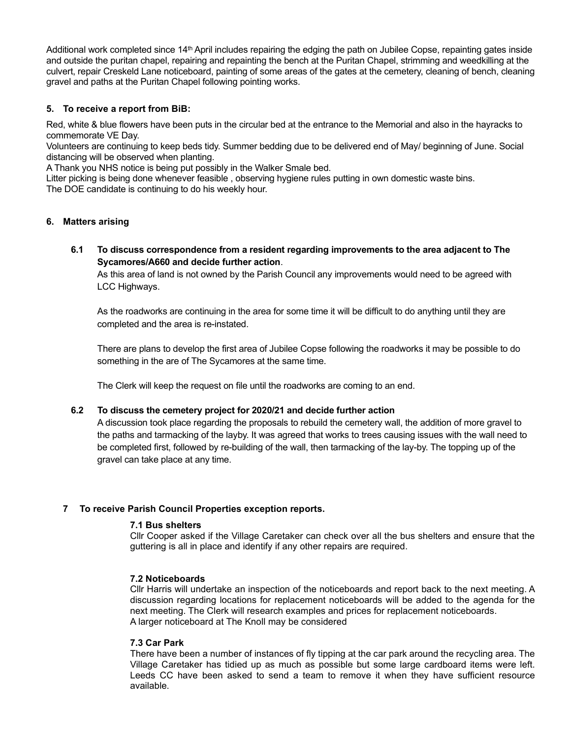Additional work completed since 14th April includes repairing the edging the path on Jubilee Copse, repainting gates inside and outside the puritan chapel, repairing and repainting the bench at the Puritan Chapel, strimming and weedkilling at the culvert, repair Creskeld Lane noticeboard, painting of some areas of the gates at the cemetery, cleaning of bench, cleaning gravel and paths at the Puritan Chapel following pointing works.

# 5. To receive a report from BiB:

Red, white & blue flowers have been puts in the circular bed at the entrance to the Memorial and also in the hayracks to commemorate VE Day.

Volunteers are continuing to keep beds tidy. Summer bedding due to be delivered end of May/ beginning of June. Social distancing will be observed when planting.

A Thank you NHS notice is being put possibly in the Walker Smale bed.

Litter picking is being done whenever feasible , observing hygiene rules putting in own domestic waste bins.

The DOE candidate is continuing to do his weekly hour.

# 6. Matters arising

6.1 To discuss correspondence from a resident regarding improvements to the area adjacent to The Sycamores/A660 and decide further action.

As this area of land is not owned by the Parish Council any improvements would need to be agreed with LCC Highways.

As the roadworks are continuing in the area for some time it will be difficult to do anything until they are completed and the area is re-instated.

There are plans to develop the first area of Jubilee Copse following the roadworks it may be possible to do something in the are of The Sycamores at the same time.

The Clerk will keep the request on file until the roadworks are coming to an end.

#### 6.2 To discuss the cemetery project for 2020/21 and decide further action

A discussion took place regarding the proposals to rebuild the cemetery wall, the addition of more gravel to the paths and tarmacking of the layby. It was agreed that works to trees causing issues with the wall need to be completed first, followed by re-building of the wall, then tarmacking of the lay-by. The topping up of the gravel can take place at any time.

#### 7 To receive Parish Council Properties exception reports.

#### 7.1 Bus shelters

Cllr Cooper asked if the Village Caretaker can check over all the bus shelters and ensure that the guttering is all in place and identify if any other repairs are required.

#### 7.2 Noticeboards

Cllr Harris will undertake an inspection of the noticeboards and report back to the next meeting. A discussion regarding locations for replacement noticeboards will be added to the agenda for the next meeting. The Clerk will research examples and prices for replacement noticeboards. A larger noticeboard at The Knoll may be considered

#### 7.3 Car Park

There have been a number of instances of fly tipping at the car park around the recycling area. The Village Caretaker has tidied up as much as possible but some large cardboard items were left. Leeds CC have been asked to send a team to remove it when they have sufficient resource available.